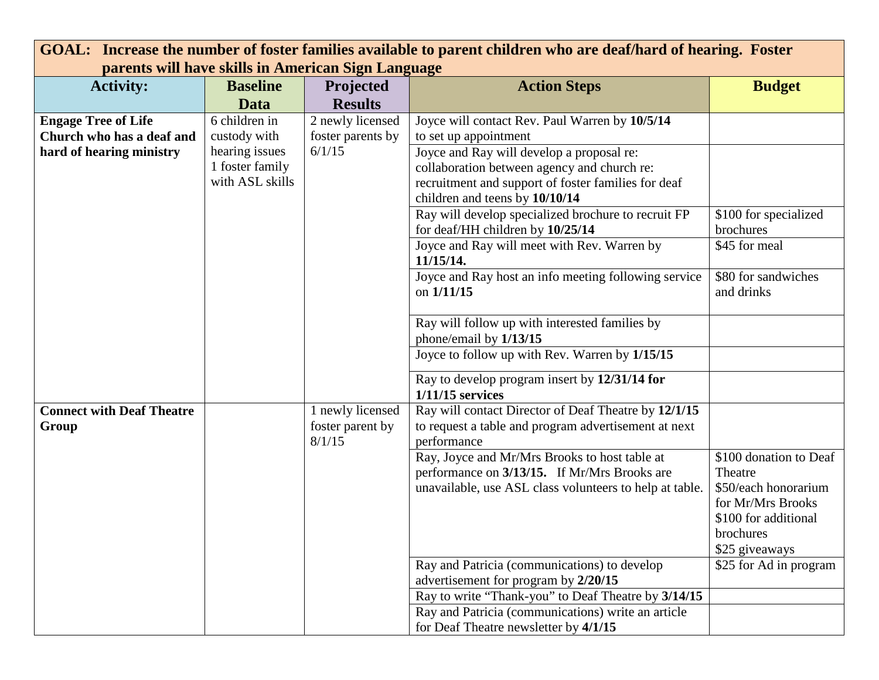| GOAL: Increase the number of foster families available to parent children who are deaf/hard of hearing. Foster |                                                 |                                                 |                                                                                                                                                          |                                                                                                                                       |  |  |  |
|----------------------------------------------------------------------------------------------------------------|-------------------------------------------------|-------------------------------------------------|----------------------------------------------------------------------------------------------------------------------------------------------------------|---------------------------------------------------------------------------------------------------------------------------------------|--|--|--|
| parents will have skills in American Sign Language                                                             |                                                 |                                                 |                                                                                                                                                          |                                                                                                                                       |  |  |  |
| <b>Activity:</b>                                                                                               | <b>Baseline</b>                                 | Projected                                       | <b>Action Steps</b>                                                                                                                                      | <b>Budget</b>                                                                                                                         |  |  |  |
|                                                                                                                | Data                                            | <b>Results</b>                                  |                                                                                                                                                          |                                                                                                                                       |  |  |  |
| <b>Engage Tree of Life</b><br>Church who has a deaf and<br>hard of hearing ministry                            | 6 children in<br>custody with<br>hearing issues | 2 newly licensed<br>foster parents by<br>6/1/15 | Joyce will contact Rev. Paul Warren by 10/5/14<br>to set up appointment<br>Joyce and Ray will develop a proposal re:                                     |                                                                                                                                       |  |  |  |
|                                                                                                                | 1 foster family<br>with ASL skills              |                                                 | collaboration between agency and church re:<br>recruitment and support of foster families for deaf<br>children and teens by 10/10/14                     |                                                                                                                                       |  |  |  |
|                                                                                                                |                                                 |                                                 | Ray will develop specialized brochure to recruit FP<br>for deaf/HH children by 10/25/14                                                                  | \$100 for specialized<br>brochures                                                                                                    |  |  |  |
|                                                                                                                |                                                 |                                                 | Joyce and Ray will meet with Rev. Warren by<br>11/15/14.                                                                                                 | \$45 for meal                                                                                                                         |  |  |  |
|                                                                                                                |                                                 |                                                 | Joyce and Ray host an info meeting following service<br>on $1/11/15$                                                                                     | \$80 for sandwiches<br>and drinks                                                                                                     |  |  |  |
|                                                                                                                |                                                 |                                                 | Ray will follow up with interested families by<br>phone/email by 1/13/15                                                                                 |                                                                                                                                       |  |  |  |
|                                                                                                                |                                                 |                                                 | Joyce to follow up with Rev. Warren by 1/15/15                                                                                                           |                                                                                                                                       |  |  |  |
|                                                                                                                |                                                 |                                                 | Ray to develop program insert by 12/31/14 for<br>$1/11/15$ services                                                                                      |                                                                                                                                       |  |  |  |
| <b>Connect with Deaf Theatre</b>                                                                               |                                                 | 1 newly licensed                                | Ray will contact Director of Deaf Theatre by 12/1/15                                                                                                     |                                                                                                                                       |  |  |  |
| Group                                                                                                          |                                                 | foster parent by<br>8/1/15                      | to request a table and program advertisement at next<br>performance                                                                                      |                                                                                                                                       |  |  |  |
|                                                                                                                |                                                 |                                                 | Ray, Joyce and Mr/Mrs Brooks to host table at<br>performance on 3/13/15. If Mr/Mrs Brooks are<br>unavailable, use ASL class volunteers to help at table. | \$100 donation to Deaf<br>Theatre<br>\$50/each honorarium<br>for Mr/Mrs Brooks<br>\$100 for additional<br>brochures<br>\$25 giveaways |  |  |  |
|                                                                                                                |                                                 |                                                 | Ray and Patricia (communications) to develop<br>advertisement for program by 2/20/15                                                                     | \$25 for Ad in program                                                                                                                |  |  |  |
|                                                                                                                |                                                 |                                                 | Ray to write "Thank-you" to Deaf Theatre by 3/14/15                                                                                                      |                                                                                                                                       |  |  |  |
|                                                                                                                |                                                 |                                                 | Ray and Patricia (communications) write an article<br>for Deaf Theatre newsletter by 4/1/15                                                              |                                                                                                                                       |  |  |  |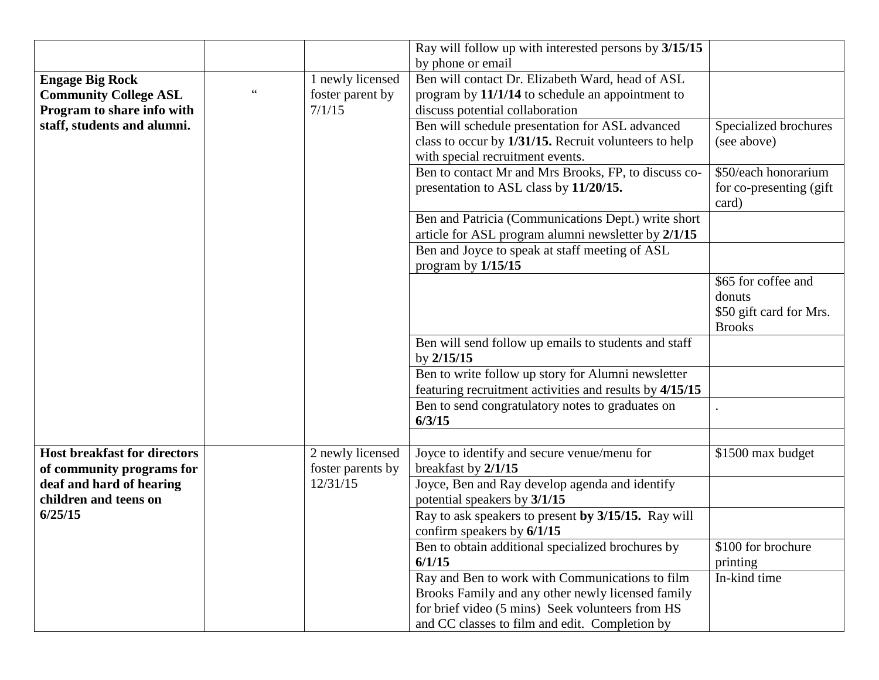|                                     |                   | Ray will follow up with interested persons by 3/15/15   |                          |
|-------------------------------------|-------------------|---------------------------------------------------------|--------------------------|
|                                     |                   | by phone or email                                       |                          |
| <b>Engage Big Rock</b>              | 1 newly licensed  | Ben will contact Dr. Elizabeth Ward, head of ASL        |                          |
| <b>Community College ASL</b>        | foster parent by  | program by 11/1/14 to schedule an appointment to        |                          |
| Program to share info with          | 7/1/15            | discuss potential collaboration                         |                          |
| staff, students and alumni.         |                   | Ben will schedule presentation for ASL advanced         | Specialized brochures    |
|                                     |                   | class to occur by 1/31/15. Recruit volunteers to help   | (see above)              |
|                                     |                   | with special recruitment events.                        |                          |
|                                     |                   | Ben to contact Mr and Mrs Brooks, FP, to discuss co-    | \$50/each honorarium     |
|                                     |                   | presentation to ASL class by 11/20/15.                  | for co-presenting (gift) |
|                                     |                   |                                                         | card)                    |
|                                     |                   | Ben and Patricia (Communications Dept.) write short     |                          |
|                                     |                   | article for ASL program alumni newsletter by 2/1/15     |                          |
|                                     |                   | Ben and Joyce to speak at staff meeting of ASL          |                          |
|                                     |                   | program by $1/15/15$                                    |                          |
|                                     |                   |                                                         | \$65 for coffee and      |
|                                     |                   |                                                         | donuts                   |
|                                     |                   |                                                         | \$50 gift card for Mrs.  |
|                                     |                   |                                                         | <b>Brooks</b>            |
|                                     |                   | Ben will send follow up emails to students and staff    |                          |
|                                     |                   | by $2/15/15$                                            |                          |
|                                     |                   | Ben to write follow up story for Alumni newsletter      |                          |
|                                     |                   | featuring recruitment activities and results by 4/15/15 |                          |
|                                     |                   | Ben to send congratulatory notes to graduates on        |                          |
|                                     |                   | 6/3/15                                                  |                          |
|                                     |                   |                                                         |                          |
| <b>Host breakfast for directors</b> | 2 newly licensed  | Joyce to identify and secure venue/menu for             | \$1500 max budget        |
| of community programs for           | foster parents by | breakfast by 2/1/15                                     |                          |
| deaf and hard of hearing            | 12/31/15          | Joyce, Ben and Ray develop agenda and identify          |                          |
| children and teens on               |                   | potential speakers by 3/1/15                            |                          |
| 6/25/15                             |                   | Ray to ask speakers to present by 3/15/15. Ray will     |                          |
|                                     |                   | confirm speakers by $6/1/15$                            |                          |
|                                     |                   | Ben to obtain additional specialized brochures by       | \$100 for brochure       |
|                                     |                   | 6/1/15                                                  | printing                 |
|                                     |                   | Ray and Ben to work with Communications to film         | In-kind time             |
|                                     |                   | Brooks Family and any other newly licensed family       |                          |
|                                     |                   | for brief video (5 mins) Seek volunteers from HS        |                          |
|                                     |                   | and CC classes to film and edit. Completion by          |                          |